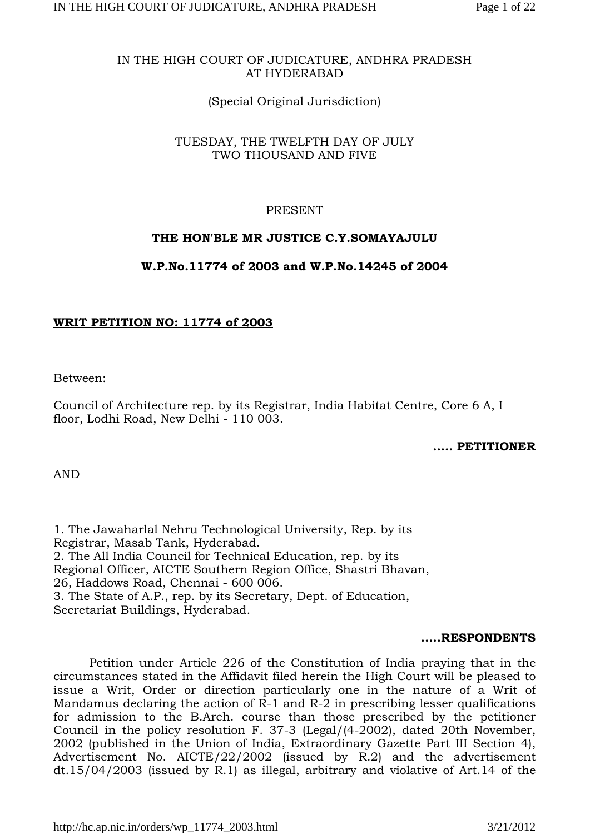### IN THE HIGH COURT OF JUDICATURE, ANDHRA PRADESH AT HYDERABAD

# (Special Original Jurisdiction)

### TUESDAY, THE TWELFTH DAY OF JULY TWO THOUSAND AND FIVE

# PRESENT

## **THE HON'BLE MR JUSTICE C.Y.SOMAYAJULU**

## **W.P.No.11774 of 2003 and W.P.No.14245 of 2004**

## **WRIT PETITION NO: 11774 of 2003**

Between:

Council of Architecture rep. by its Registrar, India Habitat Centre, Core 6 A, I floor, Lodhi Road, New Delhi - 110 003.

### **..... PETITIONER**

AND

1. The Jawaharlal Nehru Technological University, Rep. by its Registrar, Masab Tank, Hyderabad. 2. The All India Council for Technical Education, rep. by its Regional Officer, AICTE Southern Region Office, Shastri Bhavan, 26, Haddows Road, Chennai - 600 006. 3. The State of A.P., rep. by its Secretary, Dept. of Education, Secretariat Buildings, Hyderabad.

#### **.....RESPONDENTS**

Petition under Article 226 of the Constitution of India praying that in the circumstances stated in the Affidavit filed herein the High Court will be pleased to issue a Writ, Order or direction particularly one in the nature of a Writ of Mandamus declaring the action of  $\overline{R-1}$  and  $\overline{R-2}$  in prescribing lesser qualifications for admission to the B.Arch. course than those prescribed by the petitioner Council in the policy resolution F. 37-3 (Legal/(4-2002), dated 20th November, 2002 (published in the Union of India, Extraordinary Gazette Part III Section 4), Advertisement No. AICTE/22/2002 (issued by R.2) and the advertisement dt.15/04/2003 (issued by R.1) as illegal, arbitrary and violative of Art.14 of the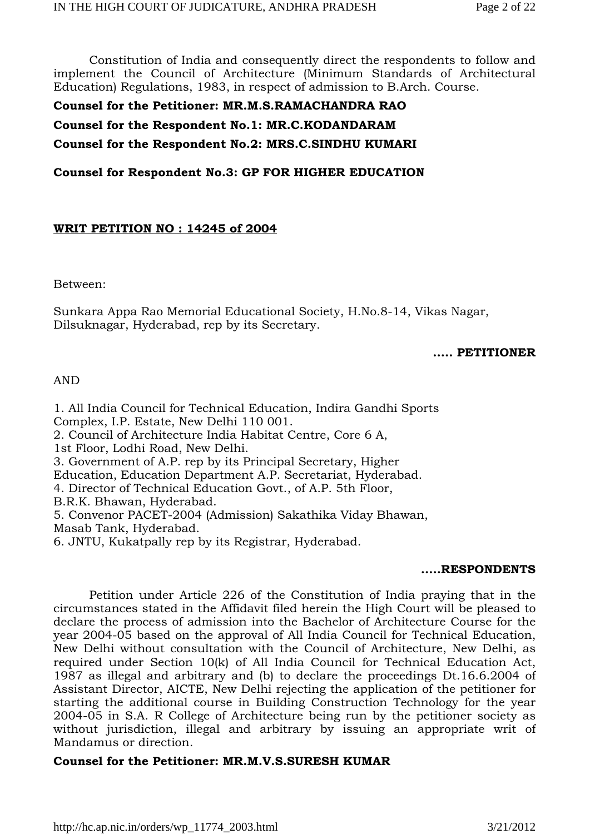Constitution of India and consequently direct the respondents to follow and implement the Council of Architecture (Minimum Standards of Architectural Education) Regulations, 1983, in respect of admission to B.Arch. Course.

**Counsel for the Petitioner: MR.M.S.RAMACHANDRA RAO** 

**Counsel for the Respondent No.1: MR.C.KODANDARAM** 

**Counsel for the Respondent No.2: MRS.C.SINDHU KUMARI**

**Counsel for Respondent No.3: GP FOR HIGHER EDUCATION** 

## **WRIT PETITION NO : 14245 of 2004**

Between:

Sunkara Appa Rao Memorial Educational Society, H.No.8-14, Vikas Nagar, Dilsuknagar, Hyderabad, rep by its Secretary.

### **..... PETITIONER**

#### AND

1. All India Council for Technical Education, Indira Gandhi Sports Complex, I.P. Estate, New Delhi 110 001. 2. Council of Architecture India Habitat Centre, Core 6 A, 1st Floor, Lodhi Road, New Delhi. 3. Government of A.P. rep by its Principal Secretary, Higher Education, Education Department A.P. Secretariat, Hyderabad. 4. Director of Technical Education Govt., of A.P. 5th Floor, B.R.K. Bhawan, Hyderabad. 5. Convenor PACET-2004 (Admission) Sakathika Viday Bhawan, Masab Tank, Hyderabad. 6. JNTU, Kukatpally rep by its Registrar, Hyderabad.

#### **.....RESPONDENTS**

Petition under Article 226 of the Constitution of India praying that in the circumstances stated in the Affidavit filed herein the High Court will be pleased to declare the process of admission into the Bachelor of Architecture Course for the year 2004-05 based on the approval of All India Council for Technical Education, New Delhi without consultation with the Council of Architecture, New Delhi, as required under Section 10(k) of All India Council for Technical Education Act, 1987 as illegal and arbitrary and (b) to declare the proceedings Dt.16.6.2004 of Assistant Director, AICTE, New Delhi rejecting the application of the petitioner for starting the additional course in Building Construction Technology for the year 2004-05 in S.A. R College of Architecture being run by the petitioner society as without jurisdiction, illegal and arbitrary by issuing an appropriate writ of Mandamus or direction.

### **Counsel for the Petitioner: MR.M.V.S.SURESH KUMAR**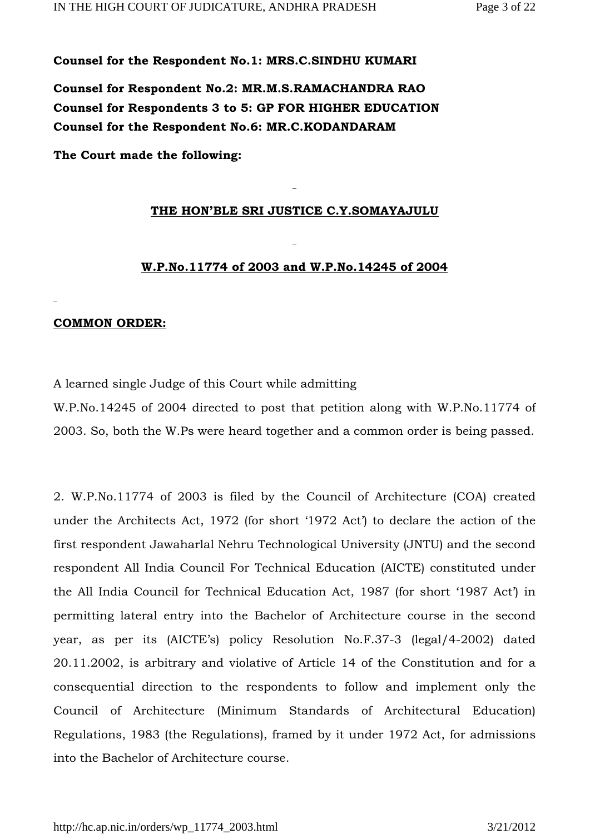**Counsel for the Respondent No.1: MRS.C.SINDHU KUMARI**

**Counsel for Respondent No.2: MR.M.S.RAMACHANDRA RAO Counsel for Respondents 3 to 5: GP FOR HIGHER EDUCATION Counsel for the Respondent No.6: MR.C.KODANDARAM** 

**The Court made the following:**

#### **THE HON'BLE SRI JUSTICE C.Y.SOMAYAJULU**

#### **W.P.No.11774 of 2003 and W.P.No.14245 of 2004**

### **COMMON ORDER:**

A learned single Judge of this Court while admitting

W.P.No.14245 of 2004 directed to post that petition along with W.P.No.11774 of 2003. So, both the W.Ps were heard together and a common order is being passed.

2. W.P.No.11774 of 2003 is filed by the Council of Architecture (COA) created under the Architects Act, 1972 (for short '1972 Act') to declare the action of the first respondent Jawaharlal Nehru Technological University (JNTU) and the second respondent All India Council For Technical Education (AICTE) constituted under the All India Council for Technical Education Act, 1987 (for short '1987 Act') in permitting lateral entry into the Bachelor of Architecture course in the second year, as per its (AICTE's) policy Resolution No.F.37-3 (legal/4-2002) dated 20.11.2002, is arbitrary and violative of Article 14 of the Constitution and for a consequential direction to the respondents to follow and implement only the Council of Architecture (Minimum Standards of Architectural Education) Regulations, 1983 (the Regulations), framed by it under 1972 Act, for admissions into the Bachelor of Architecture course.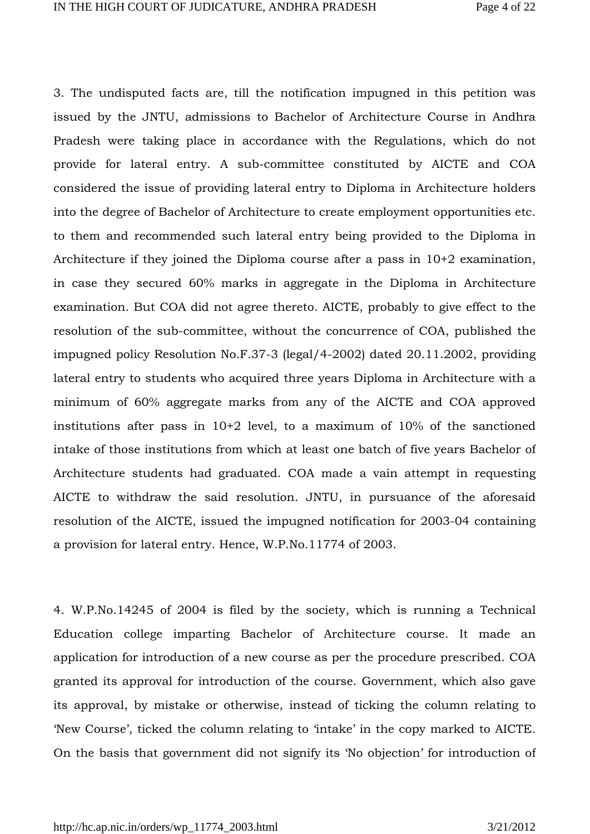3. The undisputed facts are, till the notification impugned in this petition was issued by the JNTU, admissions to Bachelor of Architecture Course in Andhra Pradesh were taking place in accordance with the Regulations, which do not provide for lateral entry. A sub-committee constituted by AICTE and COA considered the issue of providing lateral entry to Diploma in Architecture holders into the degree of Bachelor of Architecture to create employment opportunities etc. to them and recommended such lateral entry being provided to the Diploma in Architecture if they joined the Diploma course after a pass in 10+2 examination, in case they secured 60% marks in aggregate in the Diploma in Architecture examination. But COA did not agree thereto. AICTE, probably to give effect to the resolution of the sub-committee, without the concurrence of COA, published the impugned policy Resolution No.F.37-3 (legal/4-2002) dated 20.11.2002, providing lateral entry to students who acquired three years Diploma in Architecture with a minimum of 60% aggregate marks from any of the AICTE and COA approved institutions after pass in 10+2 level, to a maximum of 10% of the sanctioned intake of those institutions from which at least one batch of five years Bachelor of Architecture students had graduated. COA made a vain attempt in requesting AICTE to withdraw the said resolution. JNTU, in pursuance of the aforesaid resolution of the AICTE, issued the impugned notification for 2003-04 containing a provision for lateral entry. Hence, W.P.No.11774 of 2003.

4. W.P.No.14245 of 2004 is filed by the society, which is running a Technical Education college imparting Bachelor of Architecture course. It made an application for introduction of a new course as per the procedure prescribed. COA granted its approval for introduction of the course. Government, which also gave its approval, by mistake or otherwise, instead of ticking the column relating to 'New Course', ticked the column relating to 'intake' in the copy marked to AICTE. On the basis that government did not signify its 'No objection' for introduction of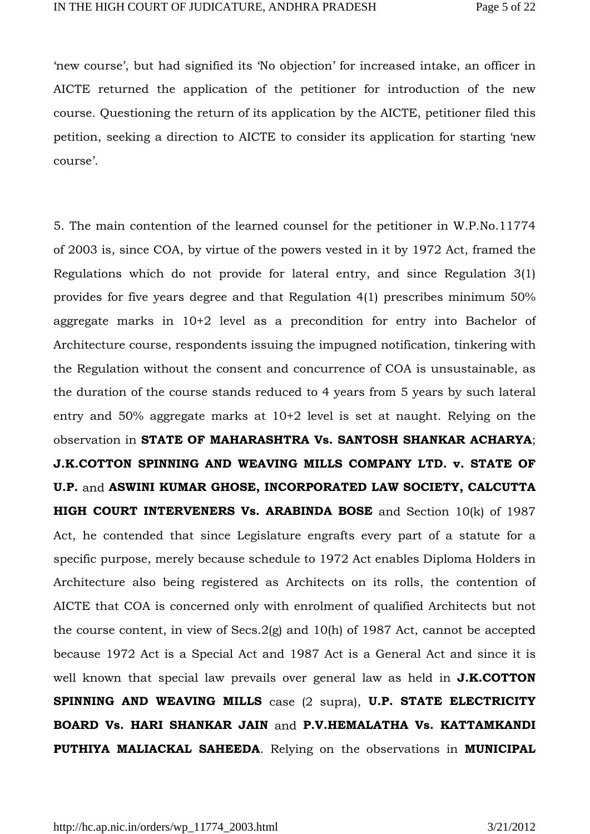'new course', but had signified its 'No objection' for increased intake, an officer in AICTE returned the application of the petitioner for introduction of the new course. Questioning the return of its application by the AICTE, petitioner filed this petition, seeking a direction to AICTE to consider its application for starting 'new course'.

5. The main contention of the learned counsel for the petitioner in W.P.No.11774 of 2003 is, since COA, by virtue of the powers vested in it by 1972 Act, framed the Regulations which do not provide for lateral entry, and since Regulation 3(1) provides for five years degree and that Regulation 4(1) prescribes minimum 50% aggregate marks in 10+2 level as a precondition for entry into Bachelor of Architecture course, respondents issuing the impugned notification, tinkering with the Regulation without the consent and concurrence of COA is unsustainable, as the duration of the course stands reduced to 4 years from 5 years by such lateral entry and 50% aggregate marks at 10+2 level is set at naught. Relying on the observation in **STATE OF MAHARASHTRA Vs. SANTOSH SHANKAR ACHARYA**; **J.K.COTTON SPINNING AND WEAVING MILLS COMPANY LTD. v. STATE OF U.P.** and **ASWINI KUMAR GHOSE, INCORPORATED LAW SOCIETY, CALCUTTA HIGH COURT INTERVENERS Vs. ARABINDA BOSE** and Section 10(k) of 1987 Act, he contended that since Legislature engrafts every part of a statute for a specific purpose, merely because schedule to 1972 Act enables Diploma Holders in Architecture also being registered as Architects on its rolls, the contention of AICTE that COA is concerned only with enrolment of qualified Architects but not the course content, in view of Secs.2(g) and 10(h) of 1987 Act, cannot be accepted because 1972 Act is a Special Act and 1987 Act is a General Act and since it is well known that special law prevails over general law as held in **J.K.COTTON SPINNING AND WEAVING MILLS** case (2 supra), **U.P. STATE ELECTRICITY BOARD Vs. HARI SHANKAR JAIN** and **P.V.HEMALATHA Vs. KATTAMKANDI PUTHIYA MALIACKAL SAHEEDA**. Relying on the observations in **MUNICIPAL**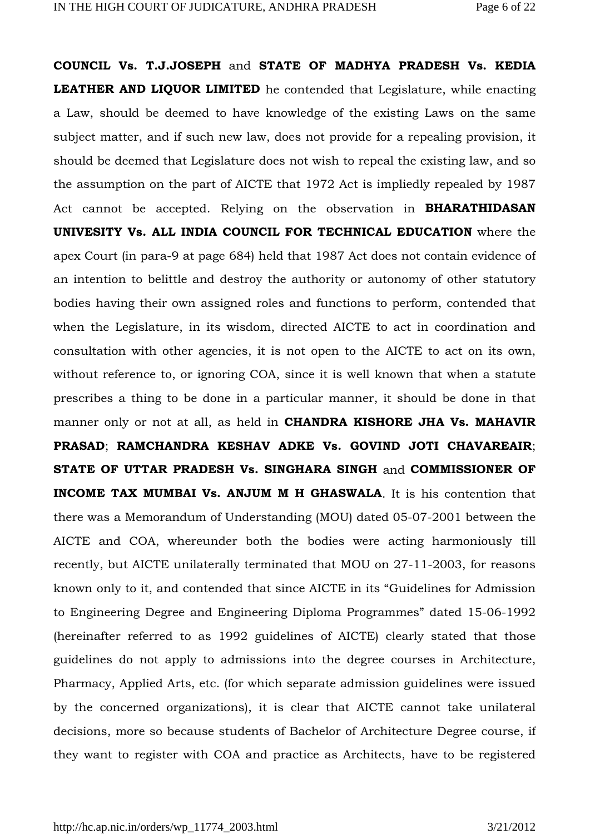**COUNCIL Vs. T.J.JOSEPH** and **STATE OF MADHYA PRADESH Vs. KEDIA LEATHER AND LIQUOR LIMITED** he contended that Legislature, while enacting a Law, should be deemed to have knowledge of the existing Laws on the same subject matter, and if such new law, does not provide for a repealing provision, it should be deemed that Legislature does not wish to repeal the existing law, and so the assumption on the part of AICTE that 1972 Act is impliedly repealed by 1987 Act cannot be accepted. Relying on the observation in **BHARATHIDASAN UNIVESITY Vs. ALL INDIA COUNCIL FOR TECHNICAL EDUCATION** where the apex Court (in para-9 at page 684) held that 1987 Act does not contain evidence of an intention to belittle and destroy the authority or autonomy of other statutory bodies having their own assigned roles and functions to perform, contended that when the Legislature, in its wisdom, directed AICTE to act in coordination and consultation with other agencies, it is not open to the AICTE to act on its own, without reference to, or ignoring COA, since it is well known that when a statute prescribes a thing to be done in a particular manner, it should be done in that manner only or not at all, as held in **CHANDRA KISHORE JHA Vs. MAHAVIR PRASAD**; **RAMCHANDRA KESHAV ADKE Vs. GOVIND JOTI CHAVAREAIR**; **STATE OF UTTAR PRADESH Vs. SINGHARA SINGH** and **COMMISSIONER OF INCOME TAX MUMBAI Vs. ANJUM M H GHASWALA**. It is his contention that there was a Memorandum of Understanding (MOU) dated 05-07-2001 between the AICTE and COA, whereunder both the bodies were acting harmoniously till recently, but AICTE unilaterally terminated that MOU on 27-11-2003, for reasons known only to it, and contended that since AICTE in its "Guidelines for Admission to Engineering Degree and Engineering Diploma Programmes" dated 15-06-1992 (hereinafter referred to as 1992 guidelines of AICTE) clearly stated that those guidelines do not apply to admissions into the degree courses in Architecture, Pharmacy, Applied Arts, etc. (for which separate admission guidelines were issued by the concerned organizations), it is clear that AICTE cannot take unilateral decisions, more so because students of Bachelor of Architecture Degree course, if they want to register with COA and practice as Architects, have to be registered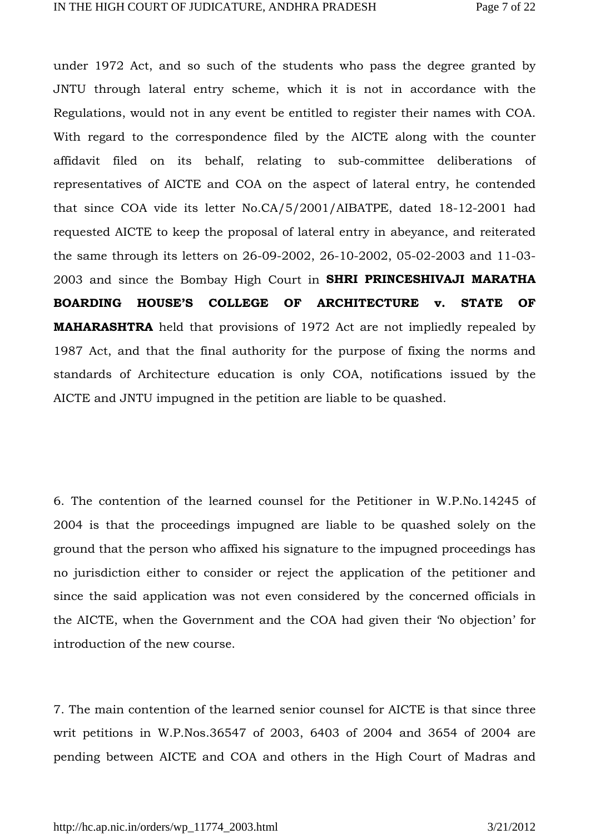under 1972 Act, and so such of the students who pass the degree granted by JNTU through lateral entry scheme, which it is not in accordance with the Regulations, would not in any event be entitled to register their names with COA. With regard to the correspondence filed by the AICTE along with the counter affidavit filed on its behalf, relating to sub-committee deliberations of representatives of AICTE and COA on the aspect of lateral entry, he contended that since COA vide its letter No.CA/5/2001/AIBATPE, dated 18-12-2001 had requested AICTE to keep the proposal of lateral entry in abeyance, and reiterated the same through its letters on 26-09-2002, 26-10-2002, 05-02-2003 and 11-03- 2003 and since the Bombay High Court in **SHRI PRINCESHIVAJI MARATHA BOARDING HOUSE'S COLLEGE OF ARCHITECTURE v. STATE OF MAHARASHTRA** held that provisions of 1972 Act are not impliedly repealed by 1987 Act, and that the final authority for the purpose of fixing the norms and standards of Architecture education is only COA, notifications issued by the AICTE and JNTU impugned in the petition are liable to be quashed.

6. The contention of the learned counsel for the Petitioner in W.P.No.14245 of 2004 is that the proceedings impugned are liable to be quashed solely on the ground that the person who affixed his signature to the impugned proceedings has no jurisdiction either to consider or reject the application of the petitioner and since the said application was not even considered by the concerned officials in the AICTE, when the Government and the COA had given their 'No objection' for introduction of the new course.

7. The main contention of the learned senior counsel for AICTE is that since three writ petitions in W.P.Nos.36547 of 2003, 6403 of 2004 and 3654 of 2004 are pending between AICTE and COA and others in the High Court of Madras and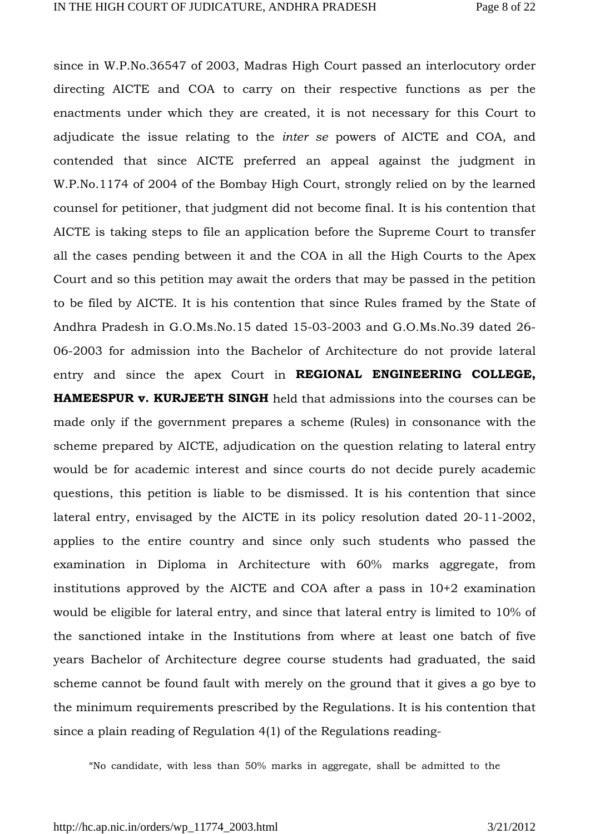since in W.P.No.36547 of 2003, Madras High Court passed an interlocutory order directing AICTE and COA to carry on their respective functions as per the enactments under which they are created, it is not necessary for this Court to adjudicate the issue relating to the *inter se* powers of AICTE and COA, and contended that since AICTE preferred an appeal against the judgment in W.P.No.1174 of 2004 of the Bombay High Court, strongly relied on by the learned counsel for petitioner, that judgment did not become final. It is his contention that AICTE is taking steps to file an application before the Supreme Court to transfer all the cases pending between it and the COA in all the High Courts to the Apex Court and so this petition may await the orders that may be passed in the petition to be filed by AICTE. It is his contention that since Rules framed by the State of Andhra Pradesh in G.O.Ms.No.15 dated 15-03-2003 and G.O.Ms.No.39 dated 26- 06-2003 for admission into the Bachelor of Architecture do not provide lateral entry and since the apex Court in **REGIONAL ENGINEERING COLLEGE, HAMEESPUR v. KURJEETH SINGH** held that admissions into the courses can be made only if the government prepares a scheme (Rules) in consonance with the scheme prepared by AICTE, adjudication on the question relating to lateral entry would be for academic interest and since courts do not decide purely academic questions, this petition is liable to be dismissed. It is his contention that since lateral entry, envisaged by the AICTE in its policy resolution dated 20-11-2002, applies to the entire country and since only such students who passed the examination in Diploma in Architecture with 60% marks aggregate, from institutions approved by the AICTE and COA after a pass in 10+2 examination would be eligible for lateral entry, and since that lateral entry is limited to 10% of the sanctioned intake in the Institutions from where at least one batch of five years Bachelor of Architecture degree course students had graduated, the said scheme cannot be found fault with merely on the ground that it gives a go bye to the minimum requirements prescribed by the Regulations. It is his contention that since a plain reading of Regulation 4(1) of the Regulations reading-

"No candidate, with less than 50% marks in aggregate, shall be admitted to the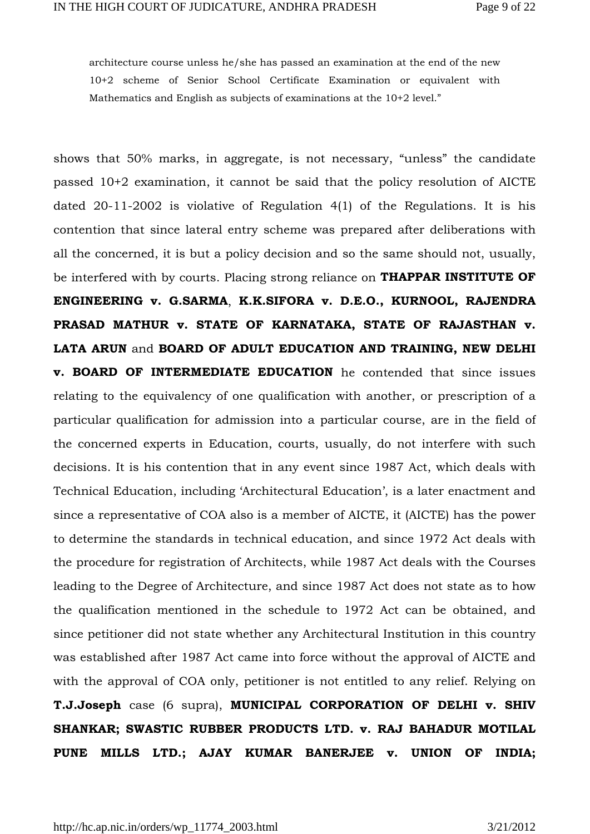architecture course unless he/she has passed an examination at the end of the new 10+2 scheme of Senior School Certificate Examination or equivalent with Mathematics and English as subjects of examinations at the 10+2 level."

shows that 50% marks, in aggregate, is not necessary, "unless" the candidate passed 10+2 examination, it cannot be said that the policy resolution of AICTE dated 20-11-2002 is violative of Regulation 4(1) of the Regulations. It is his contention that since lateral entry scheme was prepared after deliberations with all the concerned, it is but a policy decision and so the same should not, usually, be interfered with by courts. Placing strong reliance on **THAPPAR INSTITUTE OF ENGINEERING v. G.SARMA**, **K.K.SIFORA v. D.E.O., KURNOOL, RAJENDRA PRASAD MATHUR v. STATE OF KARNATAKA, STATE OF RAJASTHAN v. LATA ARUN** and **BOARD OF ADULT EDUCATION AND TRAINING, NEW DELHI v. BOARD OF INTERMEDIATE EDUCATION** he contended that since issues relating to the equivalency of one qualification with another, or prescription of a particular qualification for admission into a particular course, are in the field of the concerned experts in Education, courts, usually, do not interfere with such decisions. It is his contention that in any event since 1987 Act, which deals with Technical Education, including 'Architectural Education', is a later enactment and since a representative of COA also is a member of AICTE, it (AICTE) has the power to determine the standards in technical education, and since 1972 Act deals with the procedure for registration of Architects, while 1987 Act deals with the Courses leading to the Degree of Architecture, and since 1987 Act does not state as to how the qualification mentioned in the schedule to 1972 Act can be obtained, and since petitioner did not state whether any Architectural Institution in this country was established after 1987 Act came into force without the approval of AICTE and with the approval of COA only, petitioner is not entitled to any relief. Relying on **T.J.Joseph** case (6 supra), **MUNICIPAL CORPORATION OF DELHI v. SHIV SHANKAR; SWASTIC RUBBER PRODUCTS LTD. v. RAJ BAHADUR MOTILAL PUNE MILLS LTD.; AJAY KUMAR BANERJEE v. UNION OF INDIA;**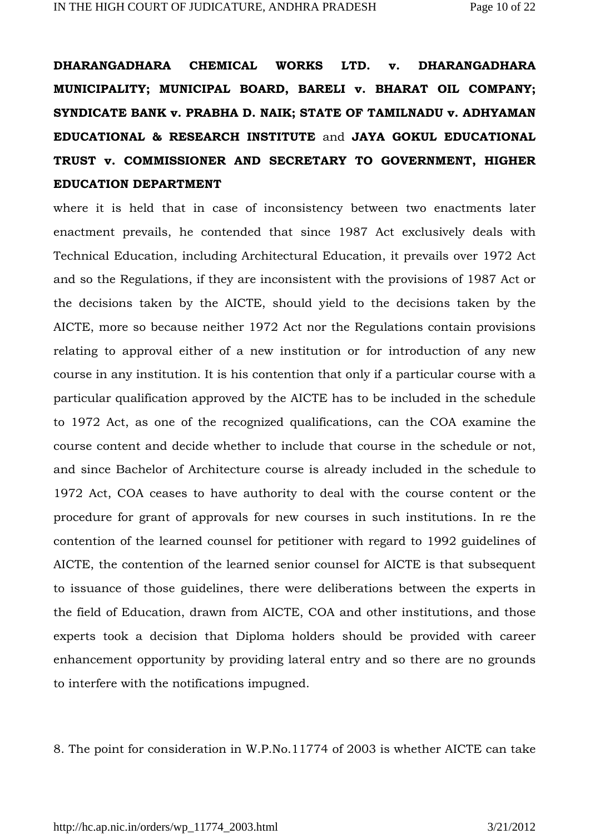**DHARANGADHARA CHEMICAL WORKS LTD. v. DHARANGADHARA MUNICIPALITY; MUNICIPAL BOARD, BARELI v. BHARAT OIL COMPANY; SYNDICATE BANK v. PRABHA D. NAIK; STATE OF TAMILNADU v. ADHYAMAN EDUCATIONAL & RESEARCH INSTITUTE** and **JAYA GOKUL EDUCATIONAL TRUST v. COMMISSIONER AND SECRETARY TO GOVERNMENT, HIGHER EDUCATION DEPARTMENT**

where it is held that in case of inconsistency between two enactments later enactment prevails, he contended that since 1987 Act exclusively deals with Technical Education, including Architectural Education, it prevails over 1972 Act and so the Regulations, if they are inconsistent with the provisions of 1987 Act or the decisions taken by the AICTE, should yield to the decisions taken by the AICTE, more so because neither 1972 Act nor the Regulations contain provisions relating to approval either of a new institution or for introduction of any new course in any institution. It is his contention that only if a particular course with a particular qualification approved by the AICTE has to be included in the schedule to 1972 Act, as one of the recognized qualifications, can the COA examine the course content and decide whether to include that course in the schedule or not, and since Bachelor of Architecture course is already included in the schedule to 1972 Act, COA ceases to have authority to deal with the course content or the procedure for grant of approvals for new courses in such institutions. In re the contention of the learned counsel for petitioner with regard to 1992 guidelines of AICTE, the contention of the learned senior counsel for AICTE is that subsequent to issuance of those guidelines, there were deliberations between the experts in the field of Education, drawn from AICTE, COA and other institutions, and those experts took a decision that Diploma holders should be provided with career enhancement opportunity by providing lateral entry and so there are no grounds to interfere with the notifications impugned.

8. The point for consideration in W.P.No.11774 of 2003 is whether AICTE can take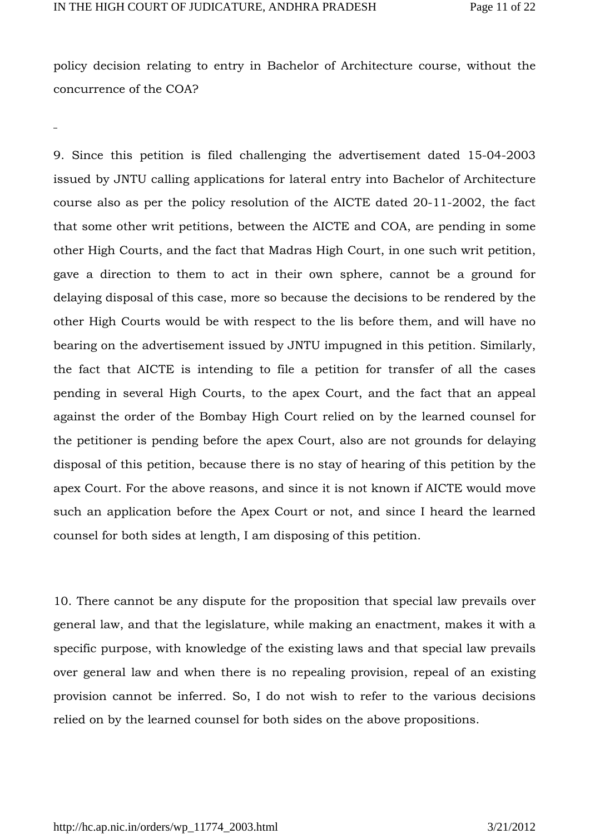policy decision relating to entry in Bachelor of Architecture course, without the concurrence of the COA?

9. Since this petition is filed challenging the advertisement dated 15-04-2003 issued by JNTU calling applications for lateral entry into Bachelor of Architecture course also as per the policy resolution of the AICTE dated 20-11-2002, the fact that some other writ petitions, between the AICTE and COA, are pending in some other High Courts, and the fact that Madras High Court, in one such writ petition, gave a direction to them to act in their own sphere, cannot be a ground for delaying disposal of this case, more so because the decisions to be rendered by the other High Courts would be with respect to the lis before them, and will have no bearing on the advertisement issued by JNTU impugned in this petition. Similarly, the fact that AICTE is intending to file a petition for transfer of all the cases pending in several High Courts, to the apex Court, and the fact that an appeal against the order of the Bombay High Court relied on by the learned counsel for the petitioner is pending before the apex Court, also are not grounds for delaying disposal of this petition, because there is no stay of hearing of this petition by the apex Court. For the above reasons, and since it is not known if AICTE would move such an application before the Apex Court or not, and since I heard the learned counsel for both sides at length, I am disposing of this petition.

10. There cannot be any dispute for the proposition that special law prevails over general law, and that the legislature, while making an enactment, makes it with a specific purpose, with knowledge of the existing laws and that special law prevails over general law and when there is no repealing provision, repeal of an existing provision cannot be inferred. So, I do not wish to refer to the various decisions relied on by the learned counsel for both sides on the above propositions.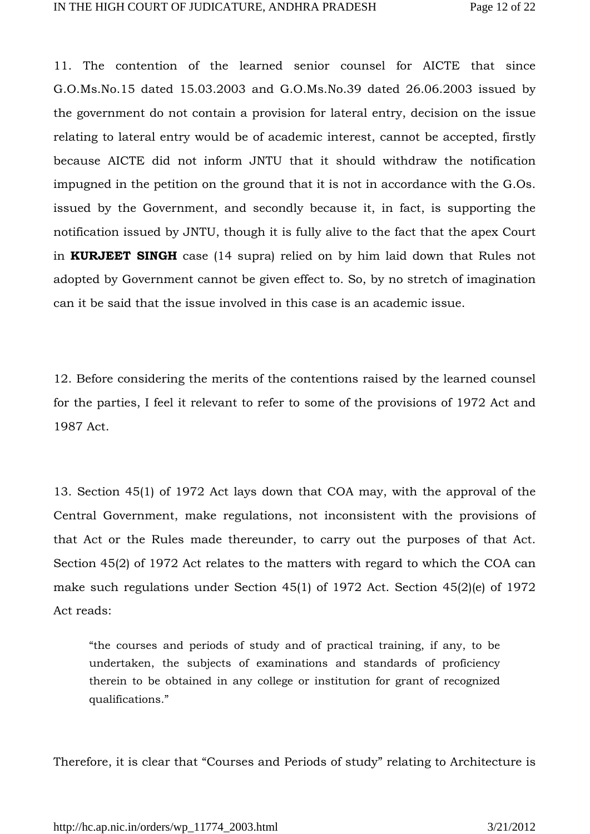11. The contention of the learned senior counsel for AICTE that since G.O.Ms.No.15 dated 15.03.2003 and G.O.Ms.No.39 dated 26.06.2003 issued by the government do not contain a provision for lateral entry, decision on the issue relating to lateral entry would be of academic interest, cannot be accepted, firstly because AICTE did not inform JNTU that it should withdraw the notification impugned in the petition on the ground that it is not in accordance with the G.Os. issued by the Government, and secondly because it, in fact, is supporting the notification issued by JNTU, though it is fully alive to the fact that the apex Court in **KURJEET SINGH** case (14 supra) relied on by him laid down that Rules not adopted by Government cannot be given effect to. So, by no stretch of imagination can it be said that the issue involved in this case is an academic issue.

12. Before considering the merits of the contentions raised by the learned counsel for the parties, I feel it relevant to refer to some of the provisions of 1972 Act and 1987 Act.

13. Section 45(1) of 1972 Act lays down that COA may, with the approval of the Central Government, make regulations, not inconsistent with the provisions of that Act or the Rules made thereunder, to carry out the purposes of that Act. Section 45(2) of 1972 Act relates to the matters with regard to which the COA can make such regulations under Section 45(1) of 1972 Act. Section 45(2)(e) of 1972 Act reads:

"the courses and periods of study and of practical training, if any, to be undertaken, the subjects of examinations and standards of proficiency therein to be obtained in any college or institution for grant of recognized qualifications."

Therefore, it is clear that "Courses and Periods of study" relating to Architecture is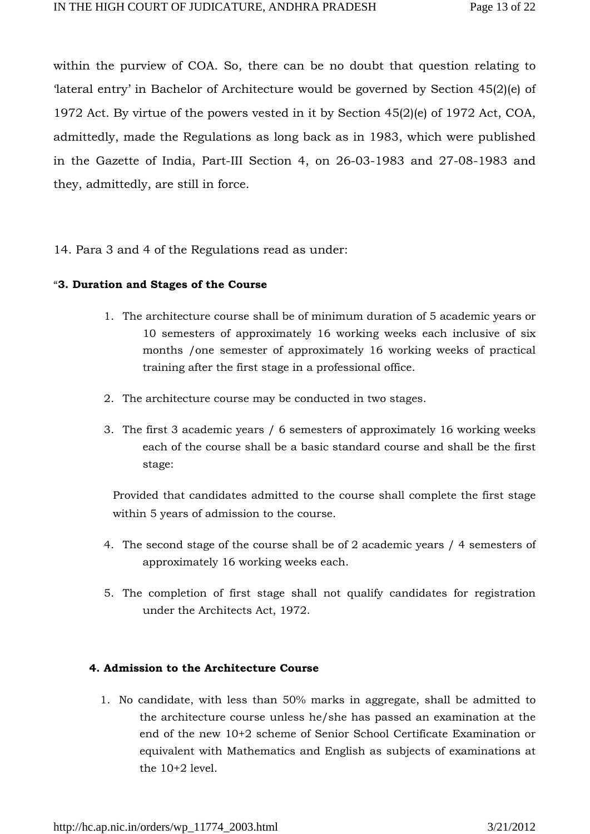within the purview of COA. So, there can be no doubt that question relating to 'lateral entry' in Bachelor of Architecture would be governed by Section 45(2)(e) of 1972 Act. By virtue of the powers vested in it by Section 45(2)(e) of 1972 Act, COA, admittedly, made the Regulations as long back as in 1983, which were published in the Gazette of India, Part-III Section 4, on 26-03-1983 and 27-08-1983 and they, admittedly, are still in force.

### 14. Para 3 and 4 of the Regulations read as under:

#### "**3. Duration and Stages of the Course**

- 1. The architecture course shall be of minimum duration of 5 academic years or 10 semesters of approximately 16 working weeks each inclusive of six months /one semester of approximately 16 working weeks of practical training after the first stage in a professional office.
- 2. The architecture course may be conducted in two stages.
- 3. The first 3 academic years / 6 semesters of approximately 16 working weeks each of the course shall be a basic standard course and shall be the first stage:

Provided that candidates admitted to the course shall complete the first stage within 5 years of admission to the course.

- 4. The second stage of the course shall be of 2 academic years / 4 semesters of approximately 16 working weeks each.
- 5. The completion of first stage shall not qualify candidates for registration under the Architects Act, 1972.

### **4. Admission to the Architecture Course**

1. No candidate, with less than 50% marks in aggregate, shall be admitted to the architecture course unless he/she has passed an examination at the end of the new 10+2 scheme of Senior School Certificate Examination or equivalent with Mathematics and English as subjects of examinations at the  $10+2$  level.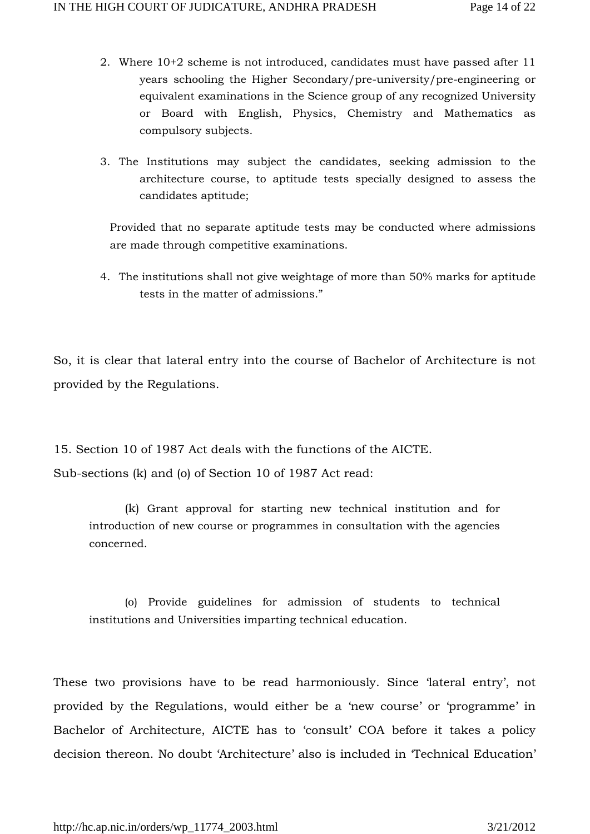- 2. Where 10+2 scheme is not introduced, candidates must have passed after 11 years schooling the Higher Secondary/pre-university/pre-engineering or equivalent examinations in the Science group of any recognized University or Board with English, Physics, Chemistry and Mathematics as compulsory subjects.
- 3. The Institutions may subject the candidates, seeking admission to the architecture course, to aptitude tests specially designed to assess the candidates aptitude;

Provided that no separate aptitude tests may be conducted where admissions are made through competitive examinations.

4. The institutions shall not give weightage of more than 50% marks for aptitude tests in the matter of admissions."

So, it is clear that lateral entry into the course of Bachelor of Architecture is not provided by the Regulations.

15. Section 10 of 1987 Act deals with the functions of the AICTE. Sub-sections (k) and (o) of Section 10 of 1987 Act read:

(k) Grant approval for starting new technical institution and for introduction of new course or programmes in consultation with the agencies concerned.

(o) Provide guidelines for admission of students to technical institutions and Universities imparting technical education.

These two provisions have to be read harmoniously. Since 'lateral entry', not provided by the Regulations, would either be a 'new course' or 'programme' in Bachelor of Architecture, AICTE has to 'consult' COA before it takes a policy decision thereon. No doubt 'Architecture' also is included in 'Technical Education'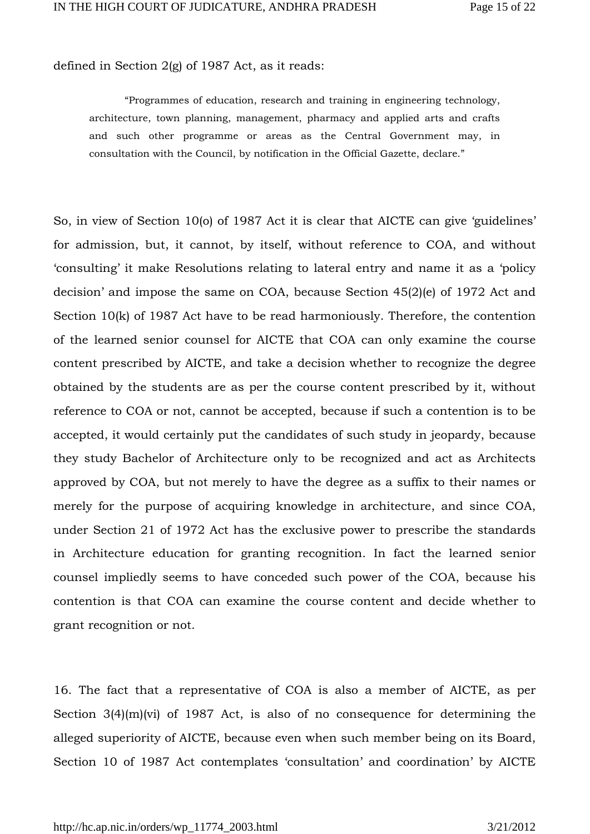defined in Section 2(g) of 1987 Act, as it reads:

"Programmes of education, research and training in engineering technology, architecture, town planning, management, pharmacy and applied arts and crafts and such other programme or areas as the Central Government may, in consultation with the Council, by notification in the Official Gazette, declare."

So, in view of Section 10(o) of 1987 Act it is clear that AICTE can give 'guidelines' for admission, but, it cannot, by itself, without reference to COA, and without 'consulting' it make Resolutions relating to lateral entry and name it as a 'policy decision' and impose the same on COA, because Section 45(2)(e) of 1972 Act and Section 10(k) of 1987 Act have to be read harmoniously. Therefore, the contention of the learned senior counsel for AICTE that COA can only examine the course content prescribed by AICTE, and take a decision whether to recognize the degree obtained by the students are as per the course content prescribed by it, without reference to COA or not, cannot be accepted, because if such a contention is to be accepted, it would certainly put the candidates of such study in jeopardy, because they study Bachelor of Architecture only to be recognized and act as Architects approved by COA, but not merely to have the degree as a suffix to their names or merely for the purpose of acquiring knowledge in architecture, and since COA, under Section 21 of 1972 Act has the exclusive power to prescribe the standards in Architecture education for granting recognition. In fact the learned senior counsel impliedly seems to have conceded such power of the COA, because his contention is that COA can examine the course content and decide whether to grant recognition or not.

16. The fact that a representative of COA is also a member of AICTE, as per Section  $3(4)(m)(vi)$  of 1987 Act, is also of no consequence for determining the alleged superiority of AICTE, because even when such member being on its Board, Section 10 of 1987 Act contemplates 'consultation' and coordination' by AICTE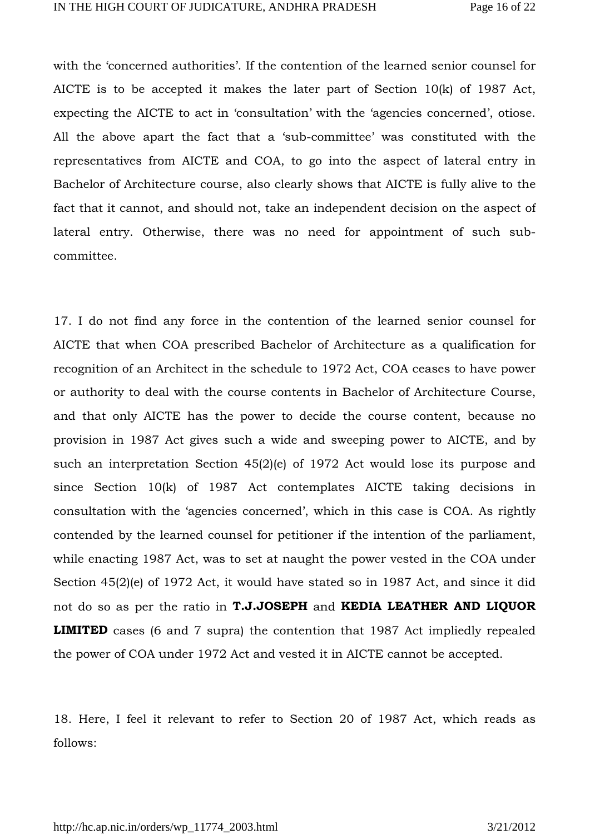with the 'concerned authorities'. If the contention of the learned senior counsel for AICTE is to be accepted it makes the later part of Section 10(k) of 1987 Act, expecting the AICTE to act in 'consultation' with the 'agencies concerned', otiose. All the above apart the fact that a 'sub-committee' was constituted with the representatives from AICTE and COA, to go into the aspect of lateral entry in Bachelor of Architecture course, also clearly shows that AICTE is fully alive to the fact that it cannot, and should not, take an independent decision on the aspect of lateral entry. Otherwise, there was no need for appointment of such subcommittee.

17. I do not find any force in the contention of the learned senior counsel for AICTE that when COA prescribed Bachelor of Architecture as a qualification for recognition of an Architect in the schedule to 1972 Act, COA ceases to have power or authority to deal with the course contents in Bachelor of Architecture Course, and that only AICTE has the power to decide the course content, because no provision in 1987 Act gives such a wide and sweeping power to AICTE, and by such an interpretation Section 45(2)(e) of 1972 Act would lose its purpose and since Section 10(k) of 1987 Act contemplates AICTE taking decisions in consultation with the 'agencies concerned', which in this case is COA. As rightly contended by the learned counsel for petitioner if the intention of the parliament, while enacting 1987 Act, was to set at naught the power vested in the COA under Section 45(2)(e) of 1972 Act, it would have stated so in 1987 Act, and since it did not do so as per the ratio in **T.J.JOSEPH** and **KEDIA LEATHER AND LIQUOR LIMITED** cases (6 and 7 supra) the contention that 1987 Act impliedly repealed the power of COA under 1972 Act and vested it in AICTE cannot be accepted.

18. Here, I feel it relevant to refer to Section 20 of 1987 Act, which reads as follows: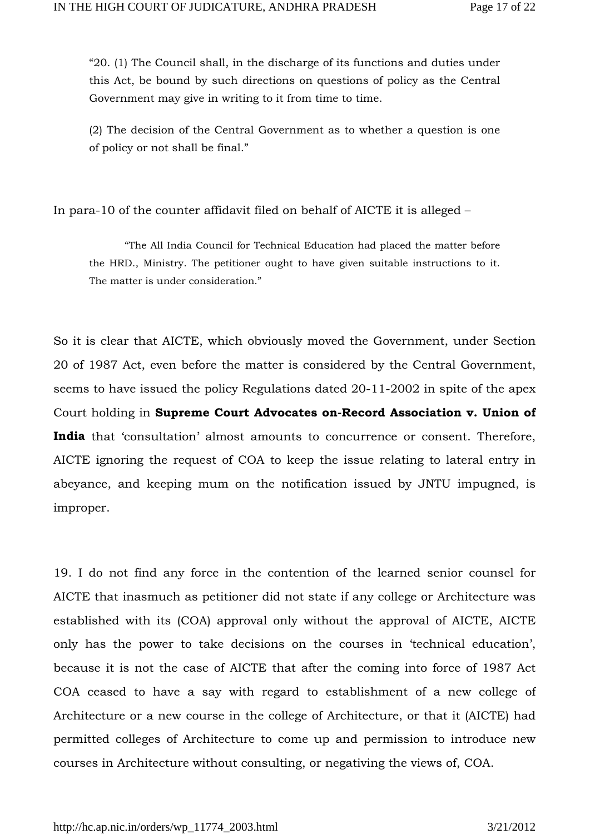"20. (1) The Council shall, in the discharge of its functions and duties under this Act, be bound by such directions on questions of policy as the Central Government may give in writing to it from time to time.

(2) The decision of the Central Government as to whether a question is one of policy or not shall be final."

In para-10 of the counter affidavit filed on behalf of AICTE it is alleged –

"The All India Council for Technical Education had placed the matter before the HRD., Ministry. The petitioner ought to have given suitable instructions to it. The matter is under consideration."

So it is clear that AICTE, which obviously moved the Government, under Section 20 of 1987 Act, even before the matter is considered by the Central Government, seems to have issued the policy Regulations dated 20-11-2002 in spite of the apex Court holding in **Supreme Court Advocates on-Record Association v. Union of**  India that 'consultation' almost amounts to concurrence or consent. Therefore, AICTE ignoring the request of COA to keep the issue relating to lateral entry in abeyance, and keeping mum on the notification issued by JNTU impugned, is improper.

19. I do not find any force in the contention of the learned senior counsel for AICTE that inasmuch as petitioner did not state if any college or Architecture was established with its (COA) approval only without the approval of AICTE, AICTE only has the power to take decisions on the courses in 'technical education', because it is not the case of AICTE that after the coming into force of 1987 Act COA ceased to have a say with regard to establishment of a new college of Architecture or a new course in the college of Architecture, or that it (AICTE) had permitted colleges of Architecture to come up and permission to introduce new courses in Architecture without consulting, or negativing the views of, COA.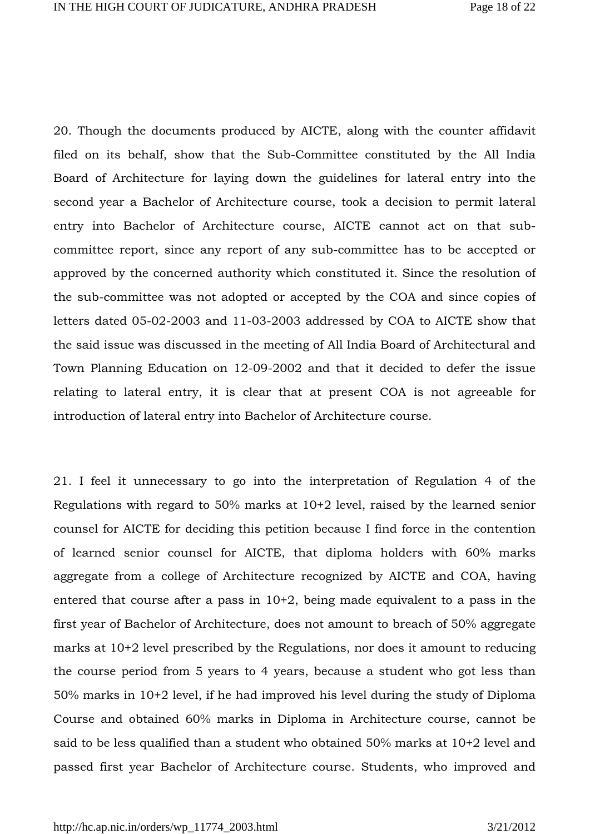20. Though the documents produced by AICTE, along with the counter affidavit filed on its behalf, show that the Sub-Committee constituted by the All India Board of Architecture for laying down the guidelines for lateral entry into the second year a Bachelor of Architecture course, took a decision to permit lateral entry into Bachelor of Architecture course, AICTE cannot act on that subcommittee report, since any report of any sub-committee has to be accepted or approved by the concerned authority which constituted it. Since the resolution of the sub-committee was not adopted or accepted by the COA and since copies of letters dated 05-02-2003 and 11-03-2003 addressed by COA to AICTE show that the said issue was discussed in the meeting of All India Board of Architectural and Town Planning Education on 12-09-2002 and that it decided to defer the issue relating to lateral entry, it is clear that at present COA is not agreeable for introduction of lateral entry into Bachelor of Architecture course.

21. I feel it unnecessary to go into the interpretation of Regulation 4 of the Regulations with regard to 50% marks at 10+2 level, raised by the learned senior counsel for AICTE for deciding this petition because I find force in the contention of learned senior counsel for AICTE, that diploma holders with 60% marks aggregate from a college of Architecture recognized by AICTE and COA, having entered that course after a pass in 10+2, being made equivalent to a pass in the first year of Bachelor of Architecture, does not amount to breach of 50% aggregate marks at 10+2 level prescribed by the Regulations, nor does it amount to reducing the course period from 5 years to 4 years, because a student who got less than 50% marks in 10+2 level, if he had improved his level during the study of Diploma Course and obtained 60% marks in Diploma in Architecture course, cannot be said to be less qualified than a student who obtained 50% marks at 10+2 level and passed first year Bachelor of Architecture course. Students, who improved and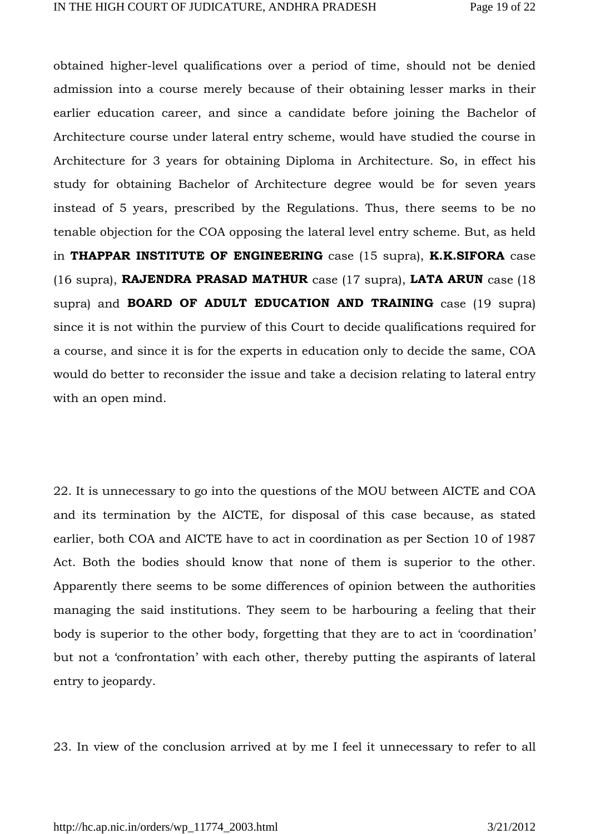obtained higher-level qualifications over a period of time, should not be denied admission into a course merely because of their obtaining lesser marks in their earlier education career, and since a candidate before joining the Bachelor of Architecture course under lateral entry scheme, would have studied the course in Architecture for 3 years for obtaining Diploma in Architecture. So, in effect his study for obtaining Bachelor of Architecture degree would be for seven years instead of 5 years, prescribed by the Regulations. Thus, there seems to be no tenable objection for the COA opposing the lateral level entry scheme. But, as held in **THAPPAR INSTITUTE OF ENGINEERING** case (15 supra), **K.K.SIFORA** case (16 supra), **RAJENDRA PRASAD MATHUR** case (17 supra), **LATA ARUN** case (18 supra) and **BOARD OF ADULT EDUCATION AND TRAINING** case (19 supra) since it is not within the purview of this Court to decide qualifications required for a course, and since it is for the experts in education only to decide the same, COA would do better to reconsider the issue and take a decision relating to lateral entry with an open mind.

22. It is unnecessary to go into the questions of the MOU between AICTE and COA and its termination by the AICTE, for disposal of this case because, as stated earlier, both COA and AICTE have to act in coordination as per Section 10 of 1987 Act. Both the bodies should know that none of them is superior to the other. Apparently there seems to be some differences of opinion between the authorities managing the said institutions. They seem to be harbouring a feeling that their body is superior to the other body, forgetting that they are to act in 'coordination' but not a 'confrontation' with each other, thereby putting the aspirants of lateral entry to jeopardy.

23. In view of the conclusion arrived at by me I feel it unnecessary to refer to all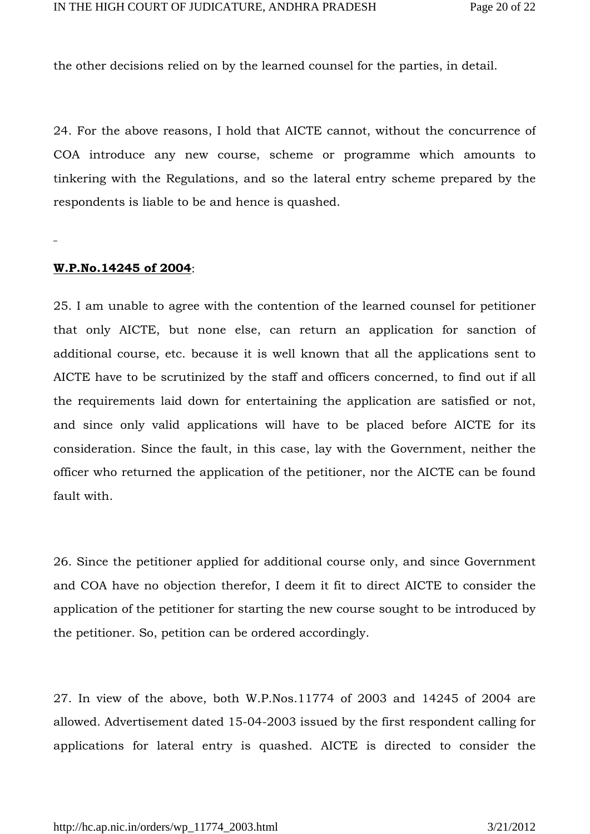the other decisions relied on by the learned counsel for the parties, in detail.

24. For the above reasons, I hold that AICTE cannot, without the concurrence of COA introduce any new course, scheme or programme which amounts to tinkering with the Regulations, and so the lateral entry scheme prepared by the respondents is liable to be and hence is quashed.

#### **W.P.No.14245 of 2004**:

25. I am unable to agree with the contention of the learned counsel for petitioner that only AICTE, but none else, can return an application for sanction of additional course, etc. because it is well known that all the applications sent to AICTE have to be scrutinized by the staff and officers concerned, to find out if all the requirements laid down for entertaining the application are satisfied or not, and since only valid applications will have to be placed before AICTE for its consideration. Since the fault, in this case, lay with the Government, neither the officer who returned the application of the petitioner, nor the AICTE can be found fault with.

26. Since the petitioner applied for additional course only, and since Government and COA have no objection therefor, I deem it fit to direct AICTE to consider the application of the petitioner for starting the new course sought to be introduced by the petitioner. So, petition can be ordered accordingly.

27. In view of the above, both W.P.Nos.11774 of 2003 and 14245 of 2004 are allowed. Advertisement dated 15-04-2003 issued by the first respondent calling for applications for lateral entry is quashed. AICTE is directed to consider the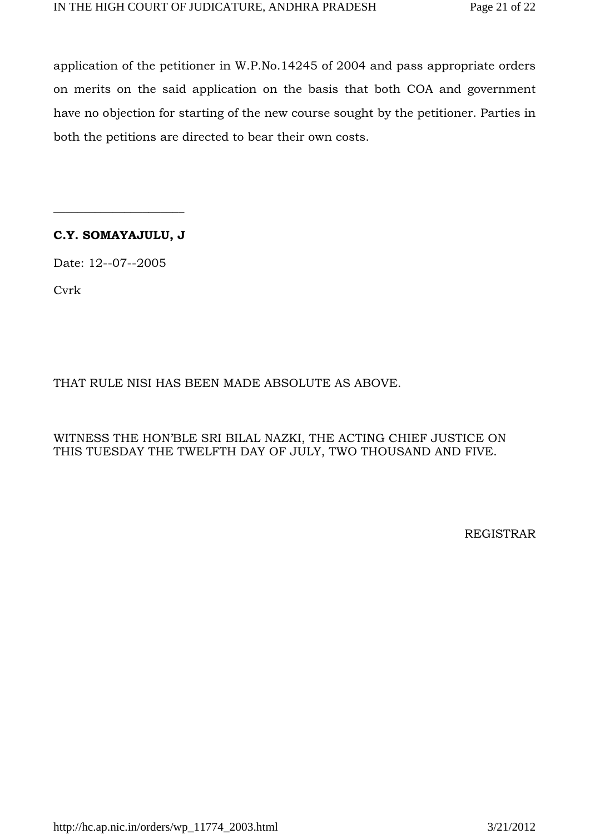application of the petitioner in W.P.No.14245 of 2004 and pass appropriate orders on merits on the said application on the basis that both COA and government have no objection for starting of the new course sought by the petitioner. Parties in both the petitions are directed to bear their own costs.

# **C.Y. SOMAYAJULU, J**

\_\_\_\_\_\_\_\_\_\_\_\_\_\_\_\_\_\_\_\_\_\_

Date: 12--07--2005

Cvrk

# THAT RULE NISI HAS BEEN MADE ABSOLUTE AS ABOVE.

WITNESS THE HON'BLE SRI BILAL NAZKI, THE ACTING CHIEF JUSTICE ON THIS TUESDAY THE TWELFTH DAY OF JULY, TWO THOUSAND AND FIVE.

REGISTRAR